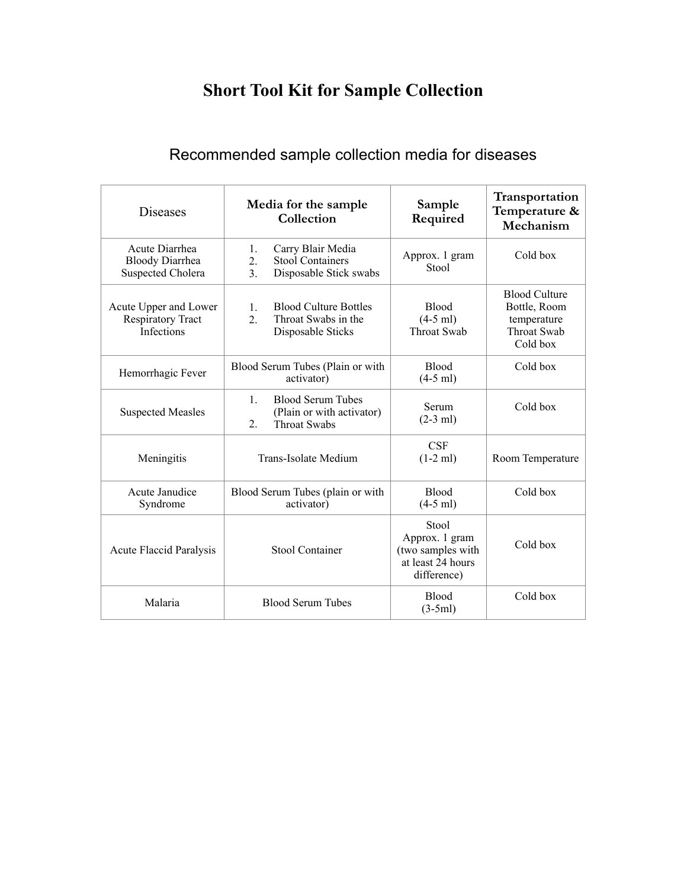## **Short Tool Kit for Sample Collection**

## Recommended sample collection media for diseases

| <b>Diseases</b>                                                      | Media for the sample<br>Collection                                                                   | Sample<br>Required                                                               | Transportation<br>Temperature &<br>Mechanism                                          |
|----------------------------------------------------------------------|------------------------------------------------------------------------------------------------------|----------------------------------------------------------------------------------|---------------------------------------------------------------------------------------|
| Acute Diarrhea<br><b>Bloody Diarrhea</b><br><b>Suspected Cholera</b> | Carry Blair Media<br>1.<br>Stool Containers<br>2.<br>3 <sub>1</sub><br>Disposable Stick swabs        | Approx. 1 gram<br>Stool                                                          | Cold box                                                                              |
| Acute Upper and Lower<br><b>Respiratory Tract</b><br>Infections      | <b>Blood Culture Bottles</b><br>1.<br>$\overline{2}$ .<br>Throat Swabs in the<br>Disposable Sticks   | <b>Blood</b><br>$(4-5$ ml)<br><b>Throat Swab</b>                                 | <b>Blood Culture</b><br>Bottle, Room<br>temperature<br><b>Throat Swab</b><br>Cold box |
| Hemorrhagic Fever                                                    | Blood Serum Tubes (Plain or with<br>activator)                                                       | <b>Blood</b><br>$(4-5$ ml)                                                       | Cold box                                                                              |
| <b>Suspected Measles</b>                                             | $\mathbf{1}$ .<br><b>Blood Serum Tubes</b><br>(Plain or with activator)<br>2.<br><b>Throat Swabs</b> | Serum<br>$(2-3$ ml)                                                              | Cold box                                                                              |
| Meningitis                                                           | Trans-Isolate Medium                                                                                 | <b>CSF</b><br>$(1-2$ ml)                                                         | Room Temperature                                                                      |
| Acute Janudice<br>Syndrome                                           | Blood Serum Tubes (plain or with<br>activator)                                                       | <b>Blood</b><br>$(4-5$ ml)                                                       | Cold box                                                                              |
| <b>Acute Flaccid Paralysis</b>                                       | <b>Stool Container</b>                                                                               | Stool<br>Approx. 1 gram<br>(two samples with<br>at least 24 hours<br>difference) | Cold box                                                                              |
| Malaria                                                              | <b>Blood Serum Tubes</b>                                                                             | <b>Blood</b><br>$(3-5ml)$                                                        | Cold box                                                                              |